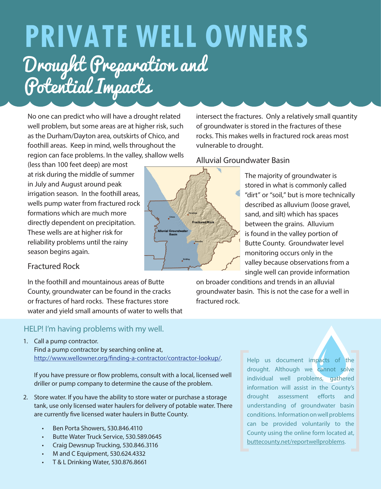# **PRIVATE WELL OWNERS** Drought Preparation and Potential Impacts

No one can predict who will have a drought related well problem, but some areas are at higher risk, such as the Durham/Dayton area, outskirts of Chico, and foothill areas. Keep in mind, wells throughout the region can face problems. In the valley, shallow wells

(less than 100 feet deep) are most at risk during the middle of summer in July and August around peak irrigation season. In the foothill areas, wells pump water from fractured rock formations which are much more directly dependent on precipitation. These wells are at higher risk for reliability problems until the rainy season begins again.

### Fractured Rock

In the foothill and mountainous areas of Butte County, groundwater can be found in the cracks or fractures of hard rocks. These fractures store water and yield small amounts of water to wells that

### HELP! I'm having problems with my well.

1. Call a pump contractor.

Find a pump contractor by searching online at, http://www.wellowner.org/finding-a-contractor/contractor-lookup/.

If you have pressure or flow problems, consult with a local, licensed well driller or pump company to determine the cause of the problem.

- 2. Store water. If you have the ability to store water or purchase a storage tank, use only licensed water haulers for delivery of potable water. There are currently five licensed water haulers in Butte County.
	- Ben Porta Showers, 530.846.4110
	- Butte Water Truck Service, 530.589.0645
	- Craig Dewsnup Trucking, 530.846.3116
	- M and C Equipment, 530.624.4332
	- T & L Drinking Water, 530.876.8661

**Fractured Roc** 

intersect the fractures. Only a relatively small quantity of groundwater is stored in the fractures of these rocks. This makes wells in fractured rock areas most vulnerable to drought.

### Alluvial Groundwater Basin

The majority of groundwater is stored in what is commonly called "dirt" or "soil," but is more technically described as alluvium (loose gravel, sand, and silt) which has spaces between the grains. Alluvium is found in the valley portion of Butte County. Groundwater level monitoring occurs only in the valley because observations from a single well can provide information

on broader conditions and trends in an alluvial groundwater basin. This is not the case for a well in fractured rock.

> Help us document impacts of the drought. Although we cannot solve individual well problems, gathered information will assist in the County's drought assessment efforts and understanding of groundwater basin conditions. Information on well problems can be provided voluntarily to the County using the online form located at, buttecounty.net/reportwellproblems.